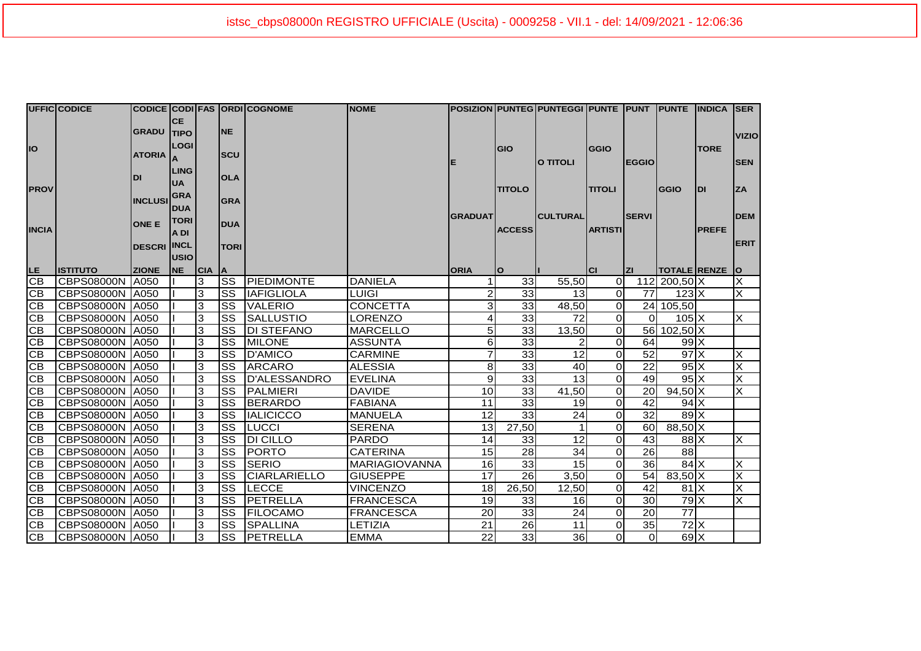|                 | <b>UFFIC CODICE</b>    |                    |                          |            |                        | CODICE CODI FAS ORDI COGNOME | <b>NOME</b>          |                |                 | POSIZION PUNTEG PUNTEGGI PUNTE PUNT PUNTE INDICA ISER |                |                 |                           |               |                |
|-----------------|------------------------|--------------------|--------------------------|------------|------------------------|------------------------------|----------------------|----------------|-----------------|-------------------------------------------------------|----------------|-----------------|---------------------------|---------------|----------------|
|                 |                        | <b>GRADU TIPO</b>  | <b>CE</b>                |            | <b>NE</b>              |                              |                      |                |                 |                                                       |                |                 |                           |               | <b>VIZIO</b>   |
| <b>IO</b>       |                        | ATORIA A           | <b>LOGI</b>              |            | <b>SCU</b>             |                              |                      | E              | GIO             | O TITOLI                                              | <b>GGIO</b>    | <b>EGGIO</b>    |                           | <b>TORE</b>   | <b>SEN</b>     |
|                 |                        | <b>DI</b>          | <b>LING</b><br><b>UA</b> |            | <b>OLA</b>             |                              |                      |                |                 |                                                       |                |                 |                           |               |                |
| <b>PROV</b>     |                        | <b>INCLUSI</b>     | <b>GRA</b><br><b>DUA</b> |            | <b>GRA</b>             |                              |                      |                | <b>TITOLO</b>   |                                                       | <b>TITOLI</b>  |                 | GGIO                      | IDI           | <b>ZA</b>      |
| <b>INCIA</b>    |                        | <b>ONE E</b>       | <b>TORI</b><br>A DI      |            | <b>DUA</b>             |                              |                      | <b>GRADUAT</b> | <b>ACCESS</b>   | <b>CULTURAL</b>                                       | <b>ARTISTI</b> | <b>SERVI</b>    |                           | <b>IPREFE</b> | <b>DEM</b>     |
|                 |                        | <b>DESCRI INCL</b> | <b>USIO</b>              |            | <b>TORI</b>            |                              |                      |                |                 |                                                       |                |                 |                           |               | <b>ERIT</b>    |
|                 | <b>ISTITUTO</b>        | <b>ZIONE</b>       | <b>NE</b>                | <b>CIA</b> | <b>A</b>               |                              |                      | <b>ORIA</b>    | $\mathbf{o}$    |                                                       | <b>CI</b>      | Izi             | TOTALE RENZE O            |               |                |
| LE<br>CB        | CBPS08000N   A050      |                    |                          | 3          | $\overline{\text{ss}}$ | <b>IPIEDIMONTE</b>           | <b>DANIELA</b>       |                | 33              | 55,50                                                 | $\overline{0}$ |                 | 112 200,50 X              |               | $\times$       |
| $\overline{CB}$ | CBPS08000N   A050      |                    |                          | 3          | SS                     | <b>IAFIGLIOLA</b>            | <b>LUIGI</b>         | $\overline{c}$ | $\overline{33}$ | 13                                                    | $\overline{0}$ | 77              | $123$ $X$                 |               | X              |
| CB              | CBPS08000N   A050      |                    |                          | 3          | SS                     | <b>VALERIO</b>               | <b>CONCETTA</b>      | 3              | 33              | 48,50                                                 | $\overline{0}$ |                 | 24 105,50                 |               |                |
| CB              | CBPS08000N   A050      |                    |                          | 3          | SS                     | <b>SALLUSTIO</b>             | LORENZO              | 4              | 33              | 72                                                    | $\overline{0}$ | $\Omega$        | $105\text{X}$             |               | X              |
| $\overline{CB}$ | CBPS08000N   A050      |                    |                          | 3          | $\overline{\text{ss}}$ | <b>DI STEFANO</b>            | <b>MARCELLO</b>      | 5              | 33              | 13,50                                                 | $\overline{0}$ |                 | 56 102,50 X               |               |                |
| CB              | <b>CBPS08000N A050</b> |                    |                          | 3          | <b>SS</b>              | <b>IMILONE</b>               | <b>ASSUNTA</b>       | 6              | 33              | 2                                                     | $\overline{0}$ | 64              | $991 \times$              |               |                |
| $\overline{CB}$ | CBPS08000N 4050        |                    |                          | 3          | SS                     | D'AMICO                      | <b>CARMINE</b>       | $\overline{7}$ | 33              | 12                                                    | $\overline{O}$ | $\overline{52}$ | $97$ $\times$             |               | $\times$       |
| CB              | CBPS08000N   A050      |                    |                          | 3          | SS                     | <b>ARCARO</b>                | <b>ALESSIA</b>       | 8              | 33              | 40                                                    | $\overline{0}$ | $\overline{22}$ | $95\text{X}$              |               | $\times$       |
| CB              | CBPS08000N 4050        |                    |                          | 3          | SS                     | D'ALESSANDRO                 | <b>EVELINA</b>       | 9              | 33              | 13                                                    | $\overline{O}$ | 49              | $95\text{X}$              |               | $\pmb{\times}$ |
| CB              | CBPS08000N   A050      |                    |                          | 3          | SS                     | PALMIERI                     | <b>DAVIDE</b>        | 10             | 33              | 41,50                                                 | $\overline{O}$ | 20              | $94,50$ X                 |               | X              |
| CB              | CBPS08000N   A050      |                    |                          | 3          | $\overline{\text{ss}}$ | BERARDO                      | <b>FABIANA</b>       | 11             | 33              | 19                                                    | $\overline{0}$ | 42              | $94$ $X$                  |               |                |
| CB              | CBPS08000N   A050      |                    |                          | 3          | SS                     | <b>IALICICCO</b>             | <b>MANUELA</b>       | 12             | 33              | 24                                                    | $\overline{0}$ | 32              | $89$ $X$                  |               |                |
| $\frac{CB}{CB}$ | CBPS08000N   A050      |                    |                          | 3          | $\overline{\text{ss}}$ | <b>LUCCI</b>                 | <b>SERENA</b>        | 13             | 27,50           | $\mathbf 1$                                           | $\overline{O}$ | 60              | 88,50 X                   |               |                |
|                 | CBPS08000N   A050      |                    |                          | 3          | $\overline{\text{ss}}$ | <b>DI CILLO</b>              | <b>PARDO</b>         | 14             | 33              | $\overline{12}$                                       | $\overline{0}$ | 43              | $88$ $X$                  |               | $\pmb{\times}$ |
|                 | <b>CBPS08000N A050</b> |                    |                          | 3          | SS                     | PORTO                        | <b>CATERINA</b>      | 15             | $\overline{28}$ | 34                                                    | $\overline{0}$ | $\overline{26}$ | $\overline{88}$           |               |                |
| CB              | CBPS08000N   A050      |                    |                          | 3          | SS                     | <b>SERIO</b>                 | <b>MARIAGIOVANNA</b> | 16             | 33              | 15                                                    | $\overline{O}$ | 36              | $84$ $X$                  |               | $\pmb{\times}$ |
| CB              | CBPS08000N             | A050               |                          | 3          | SS                     | <b>CIARLARIELLO</b>          | <b>GIUSEPPE</b>      | 17             | 26              | 3.50                                                  | $\overline{0}$ | 54              | 83,50 X                   |               | ×              |
| CB              | CBPS08000N   A050      |                    |                          | 3          | $\overline{\text{ss}}$ | <b>LECCE</b>                 | <b>VINCENZO</b>      | 18             | 26,50           | 12,50                                                 | $\overline{0}$ | $\overline{42}$ | 81X                       |               | IX             |
| CB              | CBPS08000N   A050      |                    |                          | 3          | SS                     | PETRELLA                     | <b>FRANCESCA</b>     | 19             | 33              | 16 <sup>1</sup>                                       | $\overline{0}$ | 30              | $79\overline{\mathrm{X}}$ |               | lx             |
| CB              | CBPS08000N   A050      |                    |                          | 3          | SS                     | <b>FILOCAMO</b>              | <b>FRANCESCA</b>     | 20             | 33              | 24                                                    | $\overline{0}$ | 20              | $\overline{77}$           |               |                |
| $\overline{CB}$ | CBPS08000N   A050      |                    |                          | 3          | SS                     | <b>SPALLINA</b>              | LETIZIA              | 21             | 26              | 11                                                    | $\overline{O}$ | 35              | $72$ $X$                  |               |                |
| CB              | CBPS08000N A050        |                    |                          | 3          | <b>SS</b>              | PETRELLA                     | <b>EMMA</b>          | 22             | 33              | 36                                                    | $\overline{0}$ | $\overline{0}$  | $69$ X                    |               |                |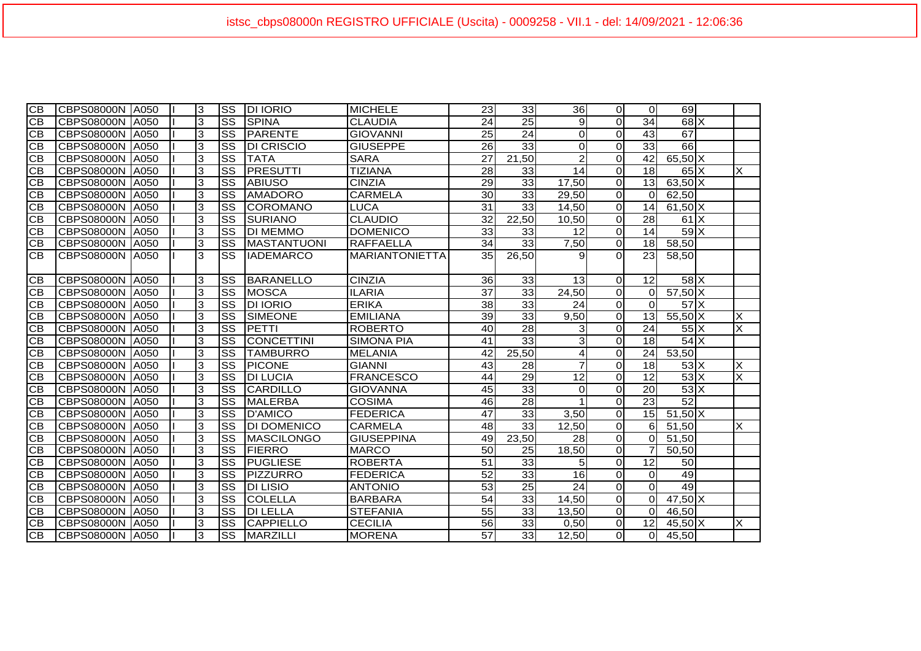| $\overline{CB}$ | CBPS08000N   A050      |             | 3 | <b>SS</b>              | <b>DI IORIO</b>    | <b>MICHELE</b>        | 23              | 33              | 36I             | $\overline{0}$          | $\Omega$        | 69                 |   |
|-----------------|------------------------|-------------|---|------------------------|--------------------|-----------------------|-----------------|-----------------|-----------------|-------------------------|-----------------|--------------------|---|
| СB              | CBPS08000N   A050      |             | 3 | <b>SS</b>              | <b>SPINA</b>       | <b>CLAUDIA</b>        | 24              | 25              | 9               | $\Omega$                | 34              | $68$ $X$           |   |
| <b>CB</b>       | CBPS08000N   A050      |             | 3 | SS                     | PARENTE            | <b>GIOVANNI</b>       | 25              | $\overline{24}$ | $\mathbf 0$     | $\overline{0}$          | 43              | 67                 |   |
| CB              | CBPS08000N A050        |             | 3 | SS                     | <b>DI CRISCIO</b>  | <b>GIUSEPPE</b>       | 26              | 33              | $\Omega$        | $\Omega$                | 33              | 66                 |   |
| CB              | CBPS08000N A050        |             | 3 | $\overline{\text{ss}}$ | <b>TATA</b>        | <b>SARA</b>           | 27              | 21,50           | $\overline{2}$  | $\Omega$                | 42              | $65,50$ X          |   |
| <b>CB</b>       | <b>CBPS08000N</b>      | A050        | 3 | $\overline{\text{ss}}$ | PRESUTTI           | <b>TIZIANA</b>        | 28              | 33              | 14              | $\overline{0}$          | 18              | $65\text{X}$       | X |
| <b>CB</b>       | CBPS08000N             | <b>A050</b> | 3 | $\overline{\text{ss}}$ | <b>IABIUSO</b>     | <b>CINZIA</b>         | 29              | 33              | 17,50           | $\Omega$                | 13              | $63,50$ X          |   |
| <b>CB</b>       | <b>CBPS08000N A050</b> |             | 3 | $\overline{\text{ss}}$ | AMADORO            | <b>CARMELA</b>        | 30              | 33              | 29,50           | $\overline{0}$          | $\Omega$        | 62,50              |   |
| <b>CB</b>       | <b>CBPS08000N</b>      | A050        | 3 | $\overline{\text{ss}}$ | <b>COROMANO</b>    | <b>LUCA</b>           | 31              | 33              | 14,50           | $\overline{0}$          | 14              | $61,50$ X          |   |
| $\overline{CB}$ | <b>CBPS08000N</b>      | A050        | 3 | $\overline{\text{ss}}$ | <b>SURIANO</b>     | <b>CLAUDIO</b>        | 32              | 22.50           | 10,50           | $\overline{0}$          | 28              | $61$ $X$           |   |
| $\overline{CB}$ | CBPS08000N             | A050        | 3 | SS                     | <b>DI MEMMO</b>    | <b>DOMENICO</b>       | 33              | 33              | 12              | $\overline{0}$          | 14              | 59X                |   |
| $\overline{CB}$ | <b>CBPS08000N</b>      | A050        | 3 | SS                     | <b>MASTANTUONI</b> | <b>RAFFAELLA</b>      | 34              | 33              | 7,50            | $\overline{O}$          | 18              | 58,50              |   |
| $\overline{CB}$ | <b>CBPS08000N</b>      | A050        | 3 | SS                     | <b>IADEMARCO</b>   | <b>MARIANTONIETTA</b> | 35              | 26,50           | 9               | $\Omega$                | 23              | 58,50              |   |
| IСB             | <b>CBPS08000N</b>      | A050        | 3 | SS                     | <b>BARANELLO</b>   | <b>CINZIA</b>         | 36              | 33              | 13              | $\overline{0}$          | 12              | $58$ $X$           |   |
| <b>CB</b>       | CBPS08000N             | <b>A050</b> | 3 | $\overline{\text{ss}}$ | <b>MOSCA</b>       | <b>ILARIA</b>         | $\overline{37}$ | 33              | 24,50           | $\overline{0}$          | $\Omega$        | $57,50$ X          |   |
| <b>CB</b>       | <b>CBPS08000N</b>      | <b>A050</b> | 3 | SS                     | <b>DI IORIO</b>    | <b>ERIKA</b>          | 38              | 33              | 24              | $\Omega$                | $\Omega$        | $57$ $\times$      |   |
| СB              | CBPS08000N   A050      |             | 3 | $\overline{\text{ss}}$ | <b>SIMEONE</b>     | <b>EMILIANA</b>       | $\overline{39}$ | 33              | 9,50            | $\Omega$                | $\overline{13}$ | $55,50$ X          | X |
| <b>CB</b>       | CBPS08000N   A050      |             | 3 | SS                     | PETTI              | <b>ROBERTO</b>        | 40              | 28              | 3               | $\overline{0}$          | 24              | $55\text{X}$       | X |
| $\overline{CB}$ | <b>CBPS08000N A050</b> |             | 3 | $\overline{\text{ss}}$ | <b>CONCETTINI</b>  | <b>SIMONA PIA</b>     | 41              | 33              | 3               | $\overline{0}$          | 18              | $54$ $X$           |   |
| СB              | CBPS08000N   A050      |             | 3 | $\overline{\text{ss}}$ | <b>TAMBURRO</b>    | <b>MELANIA</b>        | $\overline{42}$ | 25,50           | 4               | $\overline{0}$          | $\overline{24}$ | 53,50              |   |
| <b>CB</b>       | CBPS08000N   A050      |             | 3 | SS                     | PICONE             | <b>GIANNI</b>         | 43              | 28              | $\overline{7}$  | $\Omega$                | 18              | $53\text{X}$       | X |
| <b>CB</b>       | CBPS08000N A050        |             | 3 | SS                     | <b>DI LUCIA</b>    | <b>FRANCESCO</b>      | 44              | 29              | 12              | $\Omega$                | 12              | $53\text{X}$       | X |
| СB              | CBPS08000N A050        |             | 3 | $\overline{\text{ss}}$ | <b>CARDILLO</b>    | <b>GIOVANNA</b>       | 45              | 33              | $\Omega$        | $\overline{0}$          | $\overline{20}$ | 53X                |   |
| <b>CB</b>       | <b>CBPS08000N A050</b> |             | 3 | $\overline{\text{ss}}$ | <b>MALERBA</b>     | <b>COSIMA</b>         | 46              | $\overline{28}$ |                 | $\Omega$                | $\overline{23}$ | 52                 |   |
| <b>CB</b>       | <b>CBPS08000N A050</b> |             | 3 | $\overline{\text{ss}}$ | <b>D'AMICO</b>     | <b>FEDERICA</b>       | 47              | 33              | 3.50            | $\overline{0}$          | 15              | $51,50$ X          |   |
| СB              | CBPS08000N A050        |             | 3 | SS                     | <b>DI DOMENICO</b> | <b>CARMELA</b>        | 48              | 33              | 12,50           | $\overline{0}$          | 6               | $\overline{5}1,50$ | X |
| <b>CB</b>       | CBPS08000N   A050      |             | 3 | $\overline{\text{ss}}$ | <b>MASCILONGO</b>  | <b>GIUSEPPINA</b>     | 49              | 23,50           | 28              | $\overline{O}$          | $\Omega$        | 51,50              |   |
| $\overline{CB}$ | CBPS08000N   A050      |             | 3 | $\overline{\text{ss}}$ | <b>FIERRO</b>      | <b>MARCO</b>          | 50              | 25              | 18,50           | $\overline{0}$          | 7               | 50,50              |   |
| СB              | <b>CBPS08000N</b>      | <b>A050</b> | 3 | $\overline{\text{ss}}$ | <b>PUGLIESE</b>    | <b>ROBERTA</b>        | 51              | 33              | 5               | $\overline{0}$          | 12              | 50                 |   |
| <b>CB</b>       | <b>CBPS08000N</b>      | A050        | 3 | $\overline{\text{ss}}$ | <b>PIZZURRO</b>    | <b>FEDERICA</b>       | $\overline{52}$ | 33              | 16              | $\Omega$                | $\Omega$        | 49                 |   |
| <b>CB</b>       | <b>CBPS08000N</b>      | A050        | 3 | SS                     | <b>DI LISIO</b>    | <b>ANTONIO</b>        | 53              | $\overline{25}$ | $\overline{24}$ | $\overline{\mathsf{o}}$ | $\Omega$        | 49                 |   |
| CВ              | CBPS08000N             | A050        | 3 | $\overline{\text{ss}}$ | <b>COLELLA</b>     | <b>BARBARA</b>        | 54              | 33              | 14,50           | $\overline{0}$          | $\Omega$        | $47,50$ X          |   |
| CВ              | <b>CBPS08000N</b>      | A050        | 3 | SS                     | <b>DI LELLA</b>    | <b>STEFANIA</b>       | 55              | 33              | 13,50           | $\Omega$                | $\Omega$        | 46,50              |   |
| <b>CB</b>       | <b>CBPS08000N</b>      | A050        | 3 | SS                     | <b>CAPPIELLO</b>   | <b>CECILIA</b>        | 56              | 33              | 0,50            | $\overline{0}$          | 12              | $45,50$ X          | X |
| IСB             | CBPS08000N   A050      |             | 3 | SS                     | <b>MARZILLI</b>    | <b>MORENA</b>         | 57              | 33              | 12,50           | $\Omega$                | $\Omega$        | 45,50              |   |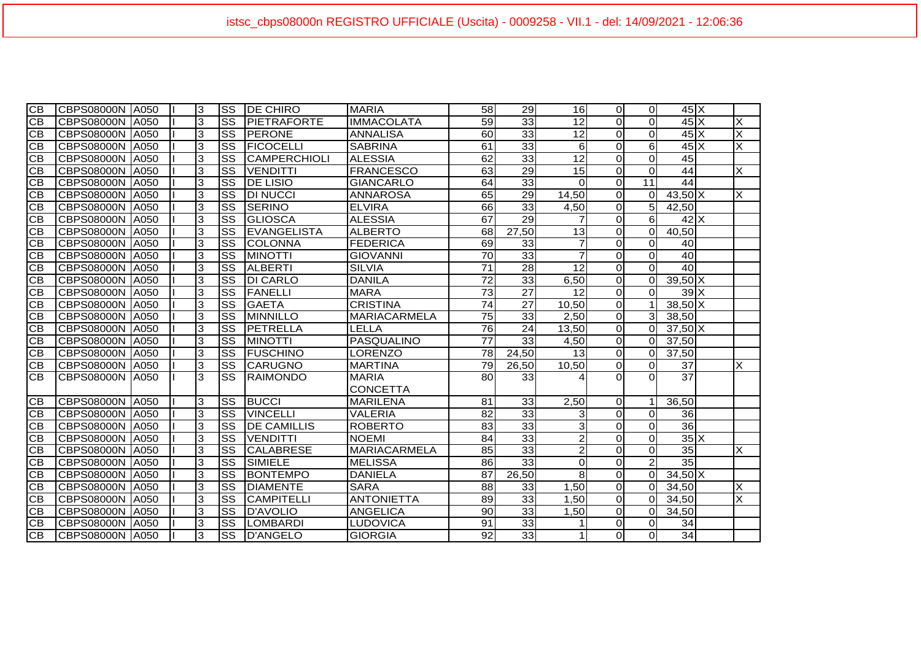| $\overline{CB}$ | <b>CBPS08000N</b> | A050        | 3              | <b>SS</b>              | <b>DE CHIRO</b>    | <b>MARIA</b>        | 58              | 29              | 16 <sup>1</sup> | $\Omega$       | $\overline{0}$   | $45\text{X}$              |                         |
|-----------------|-------------------|-------------|----------------|------------------------|--------------------|---------------------|-----------------|-----------------|-----------------|----------------|------------------|---------------------------|-------------------------|
| $\overline{C}$  | <b>CBPS08000N</b> | <b>A050</b> | 3              | <b>SS</b>              | <b>PIETRAFORTE</b> | <b>IMMACOLATA</b>   | 59              | 33              | $\overline{12}$ | $\Omega$       | $\overline{0}$   | $45\overline{\mathrm{X}}$ | X                       |
| CB              | <b>CBPS08000N</b> | <b>A050</b> | 3              | <b>SS</b>              | <b>PERONE</b>      | <b>ANNALISA</b>     | 60              | 33              | 12              | $\Omega$       | $\Omega$         | $45\text{X}$              | $\overline{\mathsf{x}}$ |
| <b>CB</b>       | <b>CBPS08000N</b> | A050        | 3              | SS                     | <b>FICOCELLI</b>   | <b>SABRINA</b>      | 61              | 33              | 6               | $\Omega$       | $6 \overline{6}$ | $45\text{X}$              | ΙX                      |
| CB              | <b>CBPS08000N</b> | A050        | $\overline{3}$ | $\overline{\text{ss}}$ | CAMPERCHIOLI       | <b>ALESSIA</b>      | 62              | 33              | 12              | $\Omega$       | $\overline{O}$   | 45                        |                         |
| $\overline{CB}$ | <b>CBPS08000N</b> | A050        | $\overline{3}$ | SS                     | <b>VENDITTI</b>    | <b>FRANCESCO</b>    | 63              | $\overline{29}$ | 15              | $\Omega$       | $\overline{O}$   | 44                        | $\overline{\mathsf{x}}$ |
| $\overline{CB}$ | <b>CBPS08000N</b> | <b>A050</b> | 3              | SS                     | <b>DE LISIO</b>    | <b>GIANCARLO</b>    | 64              | 33              | $\Omega$        | $\overline{0}$ | 11               | 44                        |                         |
| CB              | <b>CBPS08000N</b> | A050        | 3              | <b>SS</b>              | <b>DI NUCCI</b>    | <b>ANNAROSA</b>     | 65              | 29              | 14,50           | $\Omega$       | $\Omega$         | $43,50$ X                 | X                       |
| CB              | <b>CBPS08000N</b> | A050        | 3              | <b>SS</b>              | SERINO             | <b>ELVIRA</b>       | 66l             | 33              | 4,50            | $\Omega$       | 5 <sup>1</sup>   | 42,50                     |                         |
| CB              | <b>CBPS08000N</b> | A050        | 3              | SS                     | GLIOSCA            | <b>ALESSIA</b>      | 67              | $\overline{29}$ | 7               | $\Omega$       | $6 \overline{6}$ | $42$ $X$                  |                         |
| CB              | <b>CBPS08000N</b> | A050        | 3              | SS                     | EVANGELISTA        | <b>ALBERTO</b>      | 68              | 27,50           | 13              | $\Omega$       | $\Omega$         | 40,50                     |                         |
| <b>CB</b>       | <b>CBPS08000N</b> | A050        | 3              | SS                     | <b>COLONNA</b>     | <b>FEDERICA</b>     | 69              | 33              | $\overline{7}$  | $\Omega$       | $\Omega$         | 40                        |                         |
| <b>CB</b>       | <b>CBPS08000N</b> | A050        | 3              | SS                     | <b>MINOTTI</b>     | <b>GIOVANNI</b>     | 70              | 33              | $\overline{7}$  | $\Omega$       | $\Omega$         | 40                        |                         |
| CB              | <b>CBPS08000N</b> | A050        | 3              | $\overline{\text{ss}}$ | <b>ALBERTI</b>     | <b>SILVIA</b>       | $\overline{71}$ | 28              | 12              | $\overline{0}$ | $\Omega$         | 40                        |                         |
| <b>CB</b>       | <b>CBPS08000N</b> | A050        | 3              | <b>SS</b>              | <b>DI CARLO</b>    | <b>DANILA</b>       | $\overline{72}$ | 33              | 6,50            | $\Omega$       | $\overline{0}$   | $39,50$ X                 |                         |
| <b>CB</b>       | <b>CBPS08000N</b> | A050        | 3              | <b>SS</b>              | <b>FANELLI</b>     | <b>MARA</b>         | 73              | 27              | 12              | $\Omega$       | $\Omega$         | 39 IX                     |                         |
| $\overline{CB}$ | <b>CBPS08000N</b> | A050        | 3              | <b>SS</b>              | <b>GAETA</b>       | <b>CRISTINA</b>     | 74              | 27              | 10,50           | $\Omega$       | $\mathbf 1$      | $38,50$ X                 |                         |
| CB              | <b>CBPS08000N</b> | A050        | 3              | <b>SS</b>              | <b>MINNILLO</b>    | <b>MARIACARMELA</b> | $\overline{75}$ | 33              | 2,50            | $\Omega$       | $\overline{3}$   | 38,50                     |                         |
| $\overline{CB}$ | <b>CBPS08000N</b> | A050        | 3              | $\overline{\text{ss}}$ | PETRELLA           | LELLA               | 76              | 24              | 13,50           | $\Omega$       | ΟI               | $37,50$ X                 |                         |
| <b>CB</b>       | <b>CBPS08000N</b> | A050        | 3              | <b>SS</b>              | <b>MINOTTI</b>     | <b>PASQUALINO</b>   | 77              | 33              | 4,50            | $\Omega$       | $\Omega$         | 37,50                     |                         |
| CB              | <b>CBPS08000N</b> | A050        | 3              | <b>SS</b>              | <b>FUSCHINO</b>    | LORENZO             | 78              | 24,50           | 13              | $\Omega$       | $\Omega$         | 37,50                     |                         |
| CB              | <b>CBPS08000N</b> | A050        | 3              | $\overline{\text{ss}}$ | <b>CARUGNO</b>     | <b>MARTINA</b>      | 79              | 26,50           | 10,50           | $\Omega$       | $\Omega$         | 37                        | X                       |
| $\overline{CB}$ | <b>CBPS08000N</b> | <b>A050</b> | 3              | $\overline{\text{ss}}$ | <b>RAIMONDO</b>    | <b>MARIA</b>        | 80              | 33              | Δ               | $\Omega$       | $\Omega$         | $\overline{37}$           |                         |
|                 |                   |             |                |                        |                    | <b>CONCETTA</b>     |                 |                 |                 |                |                  |                           |                         |
| <b>CB</b>       | <b>CBPS08000N</b> | A050        | 3              | <b>SS</b>              | <b>BUCCI</b>       | <b>MARILENA</b>     | 81              | 33              | 2,50            | $\Omega$       | $\mathbf 1$      | 36,50                     |                         |
| CB              | <b>CBPS08000N</b> | A050        | 3              | SS                     | <b>VINCELLI</b>    | <b>VALERIA</b>      | 82              | 33              | 3               | $\Omega$       | $\Omega$         | 36                        |                         |
| $\overline{CB}$ | <b>CBPS08000N</b> | A050        | 3              | <b>SS</b>              | <b>DE CAMILLIS</b> | <b>ROBERTO</b>      | 83              | 33              | ω               | $\Omega$       | $\Omega$         | 36                        |                         |
| CB              | <b>CBPS08000N</b> | A050        | 3              | SS                     | <b>VENDITTI</b>    | <b>NOEMI</b>        | 84              | 33              | $\overline{2}$  | $\Omega$       | $\Omega$         | $35\text{X}$              |                         |
| <b>CB</b>       | <b>CBPS08000N</b> | A050        | 3              | SS                     | <b>CALABRESE</b>   | <b>MARIACARMELA</b> | 85              | 33              | $\overline{c}$  | $\Omega$       | $\Omega$         | $\overline{35}$           | $\overline{\mathsf{x}}$ |
| CB              | <b>CBPS08000N</b> | A050        | 3              | $\overline{\text{ss}}$ | <b>SIMIELE</b>     | <b>MELISSA</b>      | 86              | 33              | $\Omega$        | $\Omega$       | $\overline{2}$   | 35                        |                         |
| <b>CB</b>       | <b>CBPS08000N</b> | A050        | 3              | <b>SS</b>              | <b>BONTEMPO</b>    | <b>DANIELA</b>      | 87              | 26,50           | 8               | $\Omega$       | $\Omega$         | $34,50$ X                 |                         |
| <b>CB</b>       | <b>CBPS08000N</b> | A050        | 3              | $\overline{\text{ss}}$ | <b>DIAMENTE</b>    | <b>SARA</b>         | 88              | 33              | 1,50            | $\Omega$       | $\Omega$         | 34,50                     | X                       |
| <b>CB</b>       | <b>CBPS08000N</b> | A050        | 3              | SS                     | <b>CAMPITELLI</b>  | <b>ANTONIETTA</b>   | 89              | 33              | 1.50            | $\Omega$       | $\Omega$         | 34,50                     | X                       |
| <b>CB</b>       | <b>CBPS08000N</b> | A050        | 3              | <b>SS</b>              | <b>D'AVOLIO</b>    | <b>ANGELICA</b>     | 90              | 33              | 1,50            | $\Omega$       | $\Omega$         | 34,50                     |                         |
| <b>CB</b>       | <b>CBPS08000N</b> | A050        | 3              | <b>SS</b>              | <b>LOMBARDI</b>    | <b>LUDOVICA</b>     | 91              | 33              | 1               | $\Omega$       | $\Omega$         | 34                        |                         |
| CB              | <b>CBPS08000N</b> | A050        | 3              | <b>SS</b>              | D'ANGELO           | <b>GIORGIA</b>      | 92              | 33              | $\mathbf{1}$    | $\Omega$       | $\overline{0}$   | 34                        |                         |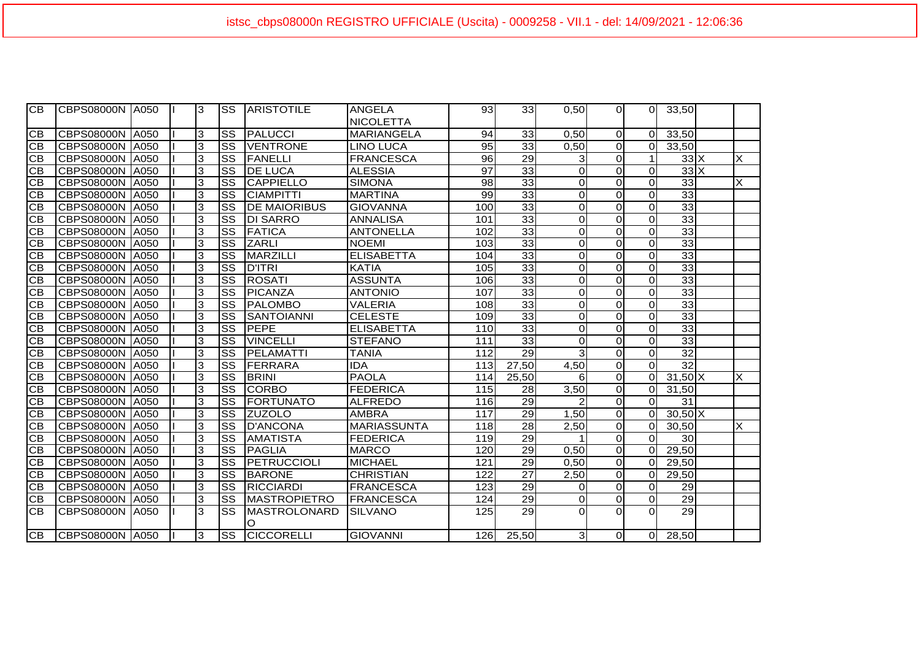| IСB       | ICBPS08000N IA050      |      | 3 | ISS.                   | <b>ARISTOTILE</b>    | <b>ANGELA</b>      | 93                | 33              | 0,50                    | ΟI             | $\Omega$       | 33,50           |          |
|-----------|------------------------|------|---|------------------------|----------------------|--------------------|-------------------|-----------------|-------------------------|----------------|----------------|-----------------|----------|
|           |                        |      |   |                        |                      | <b>NICOLETTA</b>   |                   |                 |                         |                |                |                 |          |
| IСB       | CBPS08000N A050        |      | 3 | SS                     | <b>IPALUCCI</b>      | <b>MARIANGELA</b>  | 94                | 33              | 0,50                    | $\Omega$       | $\Omega$       | 33,50           |          |
| CВ        | CBPS08000N             | A050 | 3 | <b>SS</b>              | <b>VENTRONE</b>      | <b>LINO LUCA</b>   | 95                | 33              | 0,50                    | $\overline{0}$ | $\Omega$       | 33,50           |          |
| CВ        | <b>CBPS08000N A050</b> |      | 3 | <b>SS</b>              | FANELLI              | <b>FRANCESCA</b>   | 96                | 29              | 3                       | $\Omega$       | $\mathbf 1$    | $33\text{X}$    | $\times$ |
| CВ        | CBPS08000N   A050      |      | 3 | SS                     | <b>DE LUCA</b>       | <b>ALESSIA</b>     | 97                | 33              | 0                       | $\Omega$       | $\mathbf{O}$   | $33\text{X}$    |          |
| CB        | CBPS08000N             | A050 | 3 | SS                     | <b>CAPPIELLO</b>     | <b>SIMONA</b>      | 98                | 33              | $\mathbf 0$             | $\overline{0}$ | $\Omega$       | 33              | $\times$ |
| CB        | CBPS08000N A050        |      | 3 | $\overline{\text{ss}}$ | <b>CIAMPITTI</b>     | <b>MARTINA</b>     | 99                | 33              | $\mathbf 0$             | $\overline{0}$ | $\mathbf{O}$   | 33              |          |
| CB        | CBPS08000N             | A050 | 3 | $\overline{\text{ss}}$ | <b>DE MAIORIBUS</b>  | <b>GIOVANNA</b>    | 100               | 33              | $\mathbf 0$             | $\overline{0}$ | $\mathbf{O}$   | 33              |          |
| CВ        | CBPS08000N             | A050 | 3 | $\overline{\text{ss}}$ | <b>DI SARRO</b>      | <b>ANNALISA</b>    | 101               | 33              | $\mathbf 0$             | $\overline{0}$ | $\mathbf{O}$   | 33              |          |
| CB        | <b>CBPS08000N</b>      | A050 | 3 | $\overline{\text{ss}}$ | <b>FATICA</b>        | <b>ANTONELLA</b>   | 102               | 33              | $\mathbf 0$             | $\overline{0}$ | $\mathbf{O}$   | 33              |          |
| <b>CB</b> | CBPS08000N             | A050 | 3 | SS                     | <b>ZARLI</b>         | <b>NOEMI</b>       | 103               | 33              | $\Omega$                | $\Omega$       | $\Omega$       | 33              |          |
| CB        | CBPS08000N             | A050 | 3 | $\overline{\text{ss}}$ | <b>MARZILLI</b>      | <b>ELISABETTA</b>  | 104               | 33              | $\mathbf 0$             | $\overline{0}$ | $\mathbf{O}$   | $\overline{33}$ |          |
| <b>CB</b> | <b>CBPS08000N</b>      | A050 | 3 | SS                     | <b>D'ITRI</b>        | <b>KATIA</b>       | 105               | $\overline{33}$ | $\mathbf 0$             | $\Omega$       | $\Omega$       | 33              |          |
| <b>CB</b> | <b>CBPS08000N</b>      | A050 | 3 | $\overline{\text{ss}}$ | <b>ROSATI</b>        | <b>ASSUNTA</b>     | 106               | 33              | $\mathbf 0$             | $\overline{0}$ | $\mathbf{O}$   | 33              |          |
| <b>CB</b> | <b>CBPS08000N</b>      | A050 | 3 | SS                     | <b>PICANZA</b>       | <b>ANTONIO</b>     | 107               | 33              | $\mathbf 0$             | $\overline{0}$ | $\Omega$       | 33              |          |
| <b>CB</b> | CBPS08000N             | A050 | 3 | SS                     | <b>PALOMBO</b>       | VALERIA            | 108               | $\overline{33}$ | 0                       | $\overline{0}$ | $\mathbf{O}$   | $\overline{33}$ |          |
| <b>CB</b> | <b>CBPS08000N</b>      | A050 | 3 | SS                     | <b>SANTOIANNI</b>    | <b>CELESTE</b>     | 109               | 33              | $\mathbf 0$             | $\Omega$       | $\mathbf{O}$   | 33              |          |
| CВ        | CBPS08000N             | A050 | 3 | $\overline{\text{ss}}$ | PEPE                 | <b>ELISABETTA</b>  | 110               | 33              | 0                       | $\Omega$       | $\mathbf{O}$   | 33              |          |
| CB        | CBPS08000N             | A050 | 3 | $\overline{\text{ss}}$ | <b>VINCELLI</b>      | <b>STEFANO</b>     | 111               | 33              | $\mathbf 0$             | $\overline{0}$ | $\overline{O}$ | $\overline{33}$ |          |
| CB        | CBPS08000N             | A050 | 3 | SS                     | PELAMATTI            | <b>TANIA</b>       | 112               | 29              | 3                       | $\overline{0}$ | $\overline{O}$ | $\overline{32}$ |          |
| CB        | CBPS08000N             | A050 | 3 | $\overline{\text{ss}}$ | FERRARA              | <b>IDA</b>         | 113               | 27,50           | 4,50                    | $\overline{0}$ | $\Omega$       | $\overline{32}$ |          |
| CВ        | CBPS08000N             | A050 | 3 | $\overline{\text{ss}}$ | <b>IBRINI</b>        | <b>PAOLA</b>       | 114               | 25.50           | 6                       | $\overline{0}$ | $\Omega$       | $31,50$ X       | $\times$ |
| CB        | CBPS08000N             | A050 | 3 | $\overline{\text{ss}}$ | <b>CORBO</b>         | <b>FEDERICA</b>    | 115               | 28              | 3,50                    | $\overline{0}$ | $\mathbf{O}$   | 31,50           |          |
| CВ        | CBPS08000N   A050      |      | 3 | <b>SS</b>              | <b>IFORTUNATO</b>    | <b>ALFREDO</b>     | 116               | 29              | 2                       | $\overline{0}$ | $\Omega$       | 31              |          |
| <b>CB</b> | CBPS08000N             | A050 | 3 | $\overline{\text{ss}}$ | <b>ZUZOLO</b>        | <b>AMBRA</b>       | $\frac{117}{117}$ | 29              | 1,50                    | $\overline{0}$ | $\Omega$       | $30,50$ X       |          |
| CB        | CBPS08000N             | A050 | 3 | $\overline{\text{ss}}$ | D'ANCONA             | <b>MARIASSUNTA</b> | 118               | 28              | 2,50                    | $\overline{0}$ | $\Omega$       | 30,50           | X        |
| <b>CB</b> | <b>CBPS08000N</b>      | A050 | 3 | SS                     | <b>AMATISTA</b>      | <b>FEDERICA</b>    | 119               | $\overline{29}$ |                         | $\overline{0}$ | $\Omega$       | 30              |          |
| <b>CB</b> | CBPS08000N             | A050 | 3 | SS                     | <b>PAGLIA</b>        | <b>MARCO</b>       | 120               | 29              | 0,50                    | $\overline{0}$ | $\Omega$       | 29,50           |          |
| <b>CB</b> | CBPS08000N             | A050 | 3 | $\overline{\text{ss}}$ | <b>PETRUCCIOLI</b>   | <b>MICHAEL</b>     | 121               | 29              | 0,50                    | $\overline{0}$ | $\Omega$       | 29,50           |          |
| <b>CB</b> | CBPS08000N             | A050 | 3 | SS                     | <b>BARONE</b>        | <b>CHRISTIAN</b>   | 122               | 27              | 2,50                    | $\Omega$       | $\Omega$       | 29,50           |          |
| CВ        | CBPS08000N             | A050 | 3 | SS                     | <b>RICCIARDI</b>     | <b>FRANCESCA</b>   | 123               | 29              | 0                       | $\Omega$       | $\mathbf{O}$   | 29              |          |
| CB        | <b>CBPS08000N</b>      | A050 | 3 | $\overline{\text{ss}}$ | <b>MASTROPIETRO</b>  | <b>FRANCESCA</b>   | 124               | $\overline{29}$ | $\mathbf 0$             | $\overline{0}$ | $\overline{O}$ | $\overline{29}$ |          |
| <b>CB</b> | CBPS08000N             | A050 | 3 | SS                     | <b>MASTROLONARD</b>  | <b>SILVANO</b>     | 125               | 29              | $\Omega$                | $\Omega$       | $\Omega$       | 29              |          |
|           |                        |      |   |                        | O                    |                    |                   |                 |                         |                |                |                 |          |
| ICB.      | <b>CBPS08000N A050</b> |      | 3 |                        | <b>SS CICCORELLI</b> | <b>GIOVANNI</b>    | 126               | 25.50           | $\overline{\mathbf{3}}$ | 0 <sup>l</sup> | $\overline{O}$ | 28,50           |          |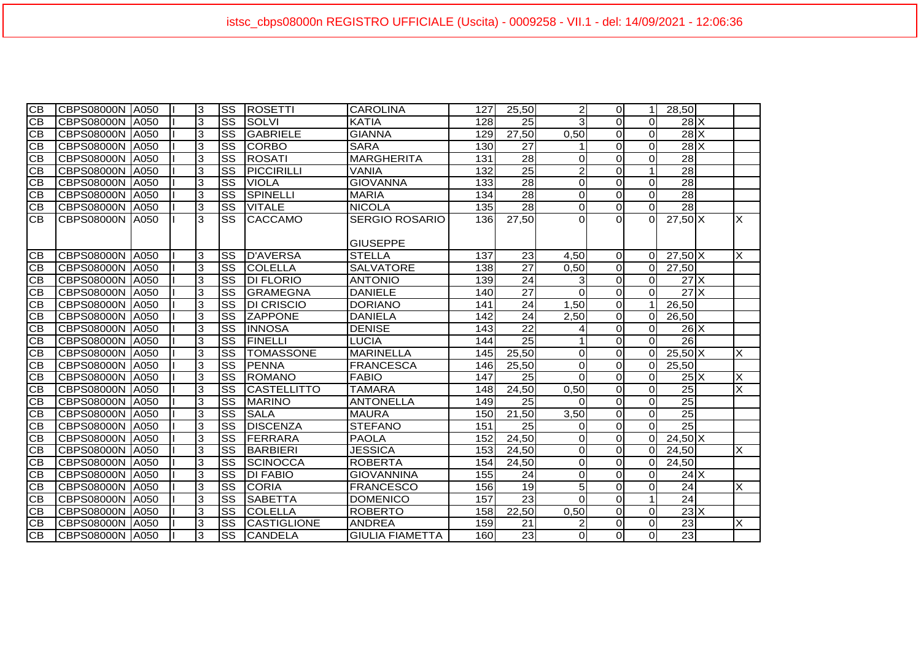| $\overline{0}$<br>28.50<br>3<br><b>SS</b><br>128<br>3<br>$\Omega$<br>$28$ $X$<br>CВ<br>CBPS08000N<br>SOLVI<br>25<br>$\Omega$<br>A050<br><b>KATIA</b><br>$\overline{0}$<br>3<br><b>SS</b><br><b>GABRIELE</b><br>27,50<br>0,50<br>$28$ $X$<br>СB<br><b>CBPS08000N</b><br><b>GIANNA</b><br>129<br>$\Omega$<br>A050<br>3<br><b>SS</b><br>$\Omega$<br>$28$ $X$<br><b>CB</b><br><b>CBPS08000N</b><br><b>CORBO</b><br><b>SARA</b><br>27<br>$\Omega$<br>A050<br>130<br>3<br>SS<br><b>MARGHERITA</b><br>$\overline{28}$<br>$\overline{28}$<br>CB<br><b>CBPS08000N</b><br><b>ROSATI</b><br>$\mathbf 0$<br>$\Omega$<br>A050<br>131<br>$\Omega$<br>3<br>$\overline{25}$<br>$\overline{c}$<br>$\overline{28}$<br><b>CB</b><br><b>SS</b><br>PICCIRILLI<br>132<br>$\Omega$<br><b>CBPS08000N</b><br>VANIA<br>A050<br>3<br><b>SS</b><br><b>GIOVANNA</b><br>28<br>$\mathbf 0$<br>$\overline{0}$<br>28<br>СB<br><b>CBPS08000N</b><br><b>VIOLA</b><br>133<br>$\Omega$<br>A050<br>3<br>$\overline{28}$<br><b>SS</b><br><b>SPINELLI</b><br>28<br>$\mathbf 0$<br>$\overline{O}$<br><b>CB</b><br><b>CBPS08000N</b><br><b>MARIA</b><br>$\Omega$<br>A050<br>134<br>3<br>SS<br>$\overline{28}$<br><b>VITALE</b><br><b>NICOLA</b><br>28<br>$\mathbf 0$<br>$\overline{0}$<br>$\Omega$<br>CВ<br><b>CBPS08000N</b><br>135<br>A050<br>X<br><b>CB</b><br>3<br><b>SS</b><br>27,50<br>$\Omega$<br>$27,50$ X<br><b>CBPS08000N</b><br>A050<br><b>CACCAMO</b><br><b>SERGIO ROSARIO</b><br>136<br>0<br>$\Omega$<br><b>GIUSEPPE</b><br>3<br><b>SS</b><br><b>D'AVERSA</b><br><b>STELLA</b><br>23<br>X<br>CB<br><b>CBPS08000N</b><br>A050<br>137<br>4,50<br>$\overline{0}$<br>$27,50$ X<br>$\Omega$<br>$\overline{\text{ss}}$<br>$\overline{27}$<br>3<br>138<br>$\overline{0}$<br>CВ<br><b>CBPS08000N</b><br>A050<br><b>COLELLA</b><br><b>SALVATORE</b><br>0,50<br>27,50<br>$\Omega$<br><b>SS</b><br>24<br>$27$ $\overline{\phantom{1}}$ $\times$<br>CB<br>3<br><b>DI FLORIO</b><br>139<br>$\Omega$<br><b>CBPS08000N</b><br>A050<br><b>ANTONIO</b><br>3<br>$\Omega$<br>$\overline{27}$<br>$\overline{0}$<br>$27\text{X}$<br>3<br>$\overline{\text{ss}}$<br>$\Omega$<br>CB<br><b>GRAMEGNA</b><br><b>DANIELE</b><br><b>CBPS08000N</b><br>140<br>$\Omega$<br>A050<br>3<br><b>SS</b><br>24<br>1,50<br>$\Omega$<br>26,50<br>CB<br><b>CBPS08000N</b><br><b>DI CRISCIO</b><br>A050<br><b>DORIANO</b><br>141<br>-1<br>3<br>SS<br><b>ZAPPONE</b><br>2,50<br>$\Omega$<br>СB<br><b>CBPS08000N</b><br>24<br>26,50<br>A050<br><b>DANIELA</b><br>142<br>$\Omega$<br>3<br>СB<br>CBPS08000N<br>lss<br><b>INNOSA</b><br>22<br>$\Omega$<br>$26$ $X$<br>A050<br><b>DENISE</b><br>143<br>$\Omega$<br>4<br>3<br>$\overline{25}$<br>$\overline{0}$<br>SS<br>FINELLI<br>$\overline{26}$<br>CB<br>CBPS08000N<br><b>LUCIA</b><br>144<br>$\Omega$<br>A050<br>1<br>3<br><b>SS</b><br><b>TOMASSONE</b><br><b>MARINELLA</b><br>25,50<br>$\overline{0}$<br>X<br>CВ<br>CBPS08000N<br>0<br>$\Omega$<br>$25,50$ X<br>A050<br>145<br>3<br><b>CB</b><br><b>SS</b><br>PENNA<br>CBPS08000N<br><b>FRANCESCA</b><br>0<br>$\overline{0}$<br>25,50<br>A050<br>146<br>25,50<br>$\Omega$<br>3<br>X<br><b>SS</b><br>CB<br><b>CBPS08000N</b><br><b>ROMANO</b><br><b>FABIO</b><br>147<br>25<br>$\Omega$<br>$\overline{0}$<br>$25\text{X}$<br>A050<br>$\Omega$<br>$\overline{\mathsf{x}}$<br>3<br><b>SS</b><br>$\overline{0}$<br>$\overline{25}$<br>СB<br><b>CBPS08000N</b><br><b>CASTELLITTO</b><br><b>TAMARA</b><br>24,50<br>0,50<br>A050<br>148<br>$\Omega$<br>$\overline{3}$<br>$\overline{\text{ss}}$<br>$\overline{0}$<br>$\overline{25}$<br><b>CB</b><br><b>CBPS08000N</b><br><b>MARINO</b><br>25<br>A050<br><b>ANTONELLA</b><br>149<br>$\Omega$<br>$\Omega$<br>3<br>SS<br>$\overline{25}$<br>3,50<br>$\overline{0}$<br><b>CB</b><br><b>CBPS08000N</b><br><b>SALA</b><br>21.50<br>A050<br><b>MAURA</b><br>150<br>0<br>$\overline{25}$<br>3<br><b>SS</b><br>СB<br><b>CBPS08000N</b><br><b>DISCENZA</b><br><b>STEFANO</b><br>$\overline{0}$<br>A050<br>151<br>25<br>$\Omega$<br>0<br>3<br><b>CB</b><br>CBPS08000N<br><b>SS</b><br>FERRARA<br><b>PAOLA</b><br>24,50<br>$\overline{0}$<br>$24,50$ X<br>A050<br>152<br>0<br>$\Omega$<br>3<br>SS<br>$\overline{0}$<br><b>CB</b><br>BARBIERI<br><b>JESSICA</b><br>153<br>24,50<br>X<br><b>CBPS08000N</b><br>A050<br>0<br>$\Omega$<br>24,50<br>3<br><b>SS</b><br>$\overline{0}$<br>СB<br><b>CBPS08000N</b><br><b>SCINOCCA</b><br><b>ROBERTA</b><br>154<br>24,50<br>$\mathbf 0$<br>24,50<br>A050<br>$\Omega$<br>$\overline{\text{ss}}$<br>$\overline{0}$<br>CB<br><b>CBPS08000N</b><br>3<br><b>DI FABIO</b><br>24<br>$\Omega$<br>$24$ $X$<br>A050<br><b>GIOVANNINA</b><br>155<br>$\Omega$<br>19<br>$\overline{0}$<br>$\overline{24}$<br>3<br><b>SS</b><br>5<br>X<br>CB<br><b>CBPS08000N</b><br><b>CORIA</b><br><b>FRANCESCO</b><br>156<br>A050<br>$\Omega$<br>$\overline{24}$<br>$\overline{23}$<br>$\overline{0}$<br>3<br><b>SS</b><br>157<br>$\Omega$<br>СB<br><b>CBPS08000N</b><br><b>SABETTA</b><br>A050<br><b>DOMENICO</b><br>$23\overline{\phantom{a}}$<br><b>SS</b><br>0,50<br>$\Omega$<br><b>CBPS08000N</b><br>3<br><b>COLELLA</b><br>22.50<br>$\Omega$<br>СB<br>A050<br><b>ROBERTO</b><br>158<br>$\overline{23}$<br>X<br>3<br><b>SS</b><br><b>CASTIGLIONE</b><br>$\Omega$<br>СB<br><b>CBPS08000N</b><br>A050<br><b>ANDREA</b><br>159<br>21<br>2<br>$\Omega$<br><b>CB</b><br>3<br><b>SS</b><br>160<br>23<br>0<br>$\Omega$<br>23<br>CBPS08000N<br>A050<br><b>CANDELA</b><br><b>GIULIA FIAMETTA</b><br>$\Omega$ |                 |                   |      |   |           |                |                 |     |       |                |             |  |  |
|----------------------------------------------------------------------------------------------------------------------------------------------------------------------------------------------------------------------------------------------------------------------------------------------------------------------------------------------------------------------------------------------------------------------------------------------------------------------------------------------------------------------------------------------------------------------------------------------------------------------------------------------------------------------------------------------------------------------------------------------------------------------------------------------------------------------------------------------------------------------------------------------------------------------------------------------------------------------------------------------------------------------------------------------------------------------------------------------------------------------------------------------------------------------------------------------------------------------------------------------------------------------------------------------------------------------------------------------------------------------------------------------------------------------------------------------------------------------------------------------------------------------------------------------------------------------------------------------------------------------------------------------------------------------------------------------------------------------------------------------------------------------------------------------------------------------------------------------------------------------------------------------------------------------------------------------------------------------------------------------------------------------------------------------------------------------------------------------------------------------------------------------------------------------------------------------------------------------------------------------------------------------------------------------------------------------------------------------------------------------------------------------------------------------------------------------------------------------------------------------------------------------------------------------------------------------------------------------------------------------------------------------------------------------------------------------------------------------------------------------------------------------------------------------------------------------------------------------------------------------------------------------------------------------------------------------------------------------------------------------------------------------------------------------------------------------------------------------------------------------------------------------------------------------------------------------------------------------------------------------------------------------------------------------------------------------------------------------------------------------------------------------------------------------------------------------------------------------------------------------------------------------------------------------------------------------------------------------------------------------------------------------------------------------------------------------------------------------------------------------------------------------------------------------------------------------------------------------------------------------------------------------------------------------------------------------------------------------------------------------------------------------------------------------------------------------------------------------------------------------------------------------------------------------------------------------------------------------------------------------------------------------------------------------------------------------------------------------------------------------------------------------------------------------------------------------------------------------------------------------------------------------------------------------------------------------------------------------------------------------------------------------------------------------------------------------------------------------------------------------------------------------------------------------------------------------------------------------------------------------------------------------------------------------------------------------------------------------------------------------------------------------------------------------------------------------------------------------------------------------------------------------------------------------------------------------------------------------------------------------------------------------------------------------------------------------------------------------------------------------------------------------------------------------------------------------------------------------------|-----------------|-------------------|------|---|-----------|----------------|-----------------|-----|-------|----------------|-------------|--|--|
|                                                                                                                                                                                                                                                                                                                                                                                                                                                                                                                                                                                                                                                                                                                                                                                                                                                                                                                                                                                                                                                                                                                                                                                                                                                                                                                                                                                                                                                                                                                                                                                                                                                                                                                                                                                                                                                                                                                                                                                                                                                                                                                                                                                                                                                                                                                                                                                                                                                                                                                                                                                                                                                                                                                                                                                                                                                                                                                                                                                                                                                                                                                                                                                                                                                                                                                                                                                                                                                                                                                                                                                                                                                                                                                                                                                                                                                                                                                                                                                                                                                                                                                                                                                                                                                                                                                                                                                                                                                                                                                                                                                                                                                                                                                                                                                                                                                                                                                                                                                                                                                                                                                                                                                                                                                                                                                                                                                                                                                                            | $\overline{CB}$ | <b>CBPS08000N</b> | A050 | 3 | <b>SS</b> | <b>ROSETTI</b> | <b>CAROLINA</b> | 127 | 25,50 | $\overline{2}$ | $\mathbf 1$ |  |  |
|                                                                                                                                                                                                                                                                                                                                                                                                                                                                                                                                                                                                                                                                                                                                                                                                                                                                                                                                                                                                                                                                                                                                                                                                                                                                                                                                                                                                                                                                                                                                                                                                                                                                                                                                                                                                                                                                                                                                                                                                                                                                                                                                                                                                                                                                                                                                                                                                                                                                                                                                                                                                                                                                                                                                                                                                                                                                                                                                                                                                                                                                                                                                                                                                                                                                                                                                                                                                                                                                                                                                                                                                                                                                                                                                                                                                                                                                                                                                                                                                                                                                                                                                                                                                                                                                                                                                                                                                                                                                                                                                                                                                                                                                                                                                                                                                                                                                                                                                                                                                                                                                                                                                                                                                                                                                                                                                                                                                                                                                            |                 |                   |      |   |           |                |                 |     |       |                |             |  |  |
|                                                                                                                                                                                                                                                                                                                                                                                                                                                                                                                                                                                                                                                                                                                                                                                                                                                                                                                                                                                                                                                                                                                                                                                                                                                                                                                                                                                                                                                                                                                                                                                                                                                                                                                                                                                                                                                                                                                                                                                                                                                                                                                                                                                                                                                                                                                                                                                                                                                                                                                                                                                                                                                                                                                                                                                                                                                                                                                                                                                                                                                                                                                                                                                                                                                                                                                                                                                                                                                                                                                                                                                                                                                                                                                                                                                                                                                                                                                                                                                                                                                                                                                                                                                                                                                                                                                                                                                                                                                                                                                                                                                                                                                                                                                                                                                                                                                                                                                                                                                                                                                                                                                                                                                                                                                                                                                                                                                                                                                                            |                 |                   |      |   |           |                |                 |     |       |                |             |  |  |
|                                                                                                                                                                                                                                                                                                                                                                                                                                                                                                                                                                                                                                                                                                                                                                                                                                                                                                                                                                                                                                                                                                                                                                                                                                                                                                                                                                                                                                                                                                                                                                                                                                                                                                                                                                                                                                                                                                                                                                                                                                                                                                                                                                                                                                                                                                                                                                                                                                                                                                                                                                                                                                                                                                                                                                                                                                                                                                                                                                                                                                                                                                                                                                                                                                                                                                                                                                                                                                                                                                                                                                                                                                                                                                                                                                                                                                                                                                                                                                                                                                                                                                                                                                                                                                                                                                                                                                                                                                                                                                                                                                                                                                                                                                                                                                                                                                                                                                                                                                                                                                                                                                                                                                                                                                                                                                                                                                                                                                                                            |                 |                   |      |   |           |                |                 |     |       |                |             |  |  |
|                                                                                                                                                                                                                                                                                                                                                                                                                                                                                                                                                                                                                                                                                                                                                                                                                                                                                                                                                                                                                                                                                                                                                                                                                                                                                                                                                                                                                                                                                                                                                                                                                                                                                                                                                                                                                                                                                                                                                                                                                                                                                                                                                                                                                                                                                                                                                                                                                                                                                                                                                                                                                                                                                                                                                                                                                                                                                                                                                                                                                                                                                                                                                                                                                                                                                                                                                                                                                                                                                                                                                                                                                                                                                                                                                                                                                                                                                                                                                                                                                                                                                                                                                                                                                                                                                                                                                                                                                                                                                                                                                                                                                                                                                                                                                                                                                                                                                                                                                                                                                                                                                                                                                                                                                                                                                                                                                                                                                                                                            |                 |                   |      |   |           |                |                 |     |       |                |             |  |  |
|                                                                                                                                                                                                                                                                                                                                                                                                                                                                                                                                                                                                                                                                                                                                                                                                                                                                                                                                                                                                                                                                                                                                                                                                                                                                                                                                                                                                                                                                                                                                                                                                                                                                                                                                                                                                                                                                                                                                                                                                                                                                                                                                                                                                                                                                                                                                                                                                                                                                                                                                                                                                                                                                                                                                                                                                                                                                                                                                                                                                                                                                                                                                                                                                                                                                                                                                                                                                                                                                                                                                                                                                                                                                                                                                                                                                                                                                                                                                                                                                                                                                                                                                                                                                                                                                                                                                                                                                                                                                                                                                                                                                                                                                                                                                                                                                                                                                                                                                                                                                                                                                                                                                                                                                                                                                                                                                                                                                                                                                            |                 |                   |      |   |           |                |                 |     |       |                |             |  |  |
|                                                                                                                                                                                                                                                                                                                                                                                                                                                                                                                                                                                                                                                                                                                                                                                                                                                                                                                                                                                                                                                                                                                                                                                                                                                                                                                                                                                                                                                                                                                                                                                                                                                                                                                                                                                                                                                                                                                                                                                                                                                                                                                                                                                                                                                                                                                                                                                                                                                                                                                                                                                                                                                                                                                                                                                                                                                                                                                                                                                                                                                                                                                                                                                                                                                                                                                                                                                                                                                                                                                                                                                                                                                                                                                                                                                                                                                                                                                                                                                                                                                                                                                                                                                                                                                                                                                                                                                                                                                                                                                                                                                                                                                                                                                                                                                                                                                                                                                                                                                                                                                                                                                                                                                                                                                                                                                                                                                                                                                                            |                 |                   |      |   |           |                |                 |     |       |                |             |  |  |
|                                                                                                                                                                                                                                                                                                                                                                                                                                                                                                                                                                                                                                                                                                                                                                                                                                                                                                                                                                                                                                                                                                                                                                                                                                                                                                                                                                                                                                                                                                                                                                                                                                                                                                                                                                                                                                                                                                                                                                                                                                                                                                                                                                                                                                                                                                                                                                                                                                                                                                                                                                                                                                                                                                                                                                                                                                                                                                                                                                                                                                                                                                                                                                                                                                                                                                                                                                                                                                                                                                                                                                                                                                                                                                                                                                                                                                                                                                                                                                                                                                                                                                                                                                                                                                                                                                                                                                                                                                                                                                                                                                                                                                                                                                                                                                                                                                                                                                                                                                                                                                                                                                                                                                                                                                                                                                                                                                                                                                                                            |                 |                   |      |   |           |                |                 |     |       |                |             |  |  |
|                                                                                                                                                                                                                                                                                                                                                                                                                                                                                                                                                                                                                                                                                                                                                                                                                                                                                                                                                                                                                                                                                                                                                                                                                                                                                                                                                                                                                                                                                                                                                                                                                                                                                                                                                                                                                                                                                                                                                                                                                                                                                                                                                                                                                                                                                                                                                                                                                                                                                                                                                                                                                                                                                                                                                                                                                                                                                                                                                                                                                                                                                                                                                                                                                                                                                                                                                                                                                                                                                                                                                                                                                                                                                                                                                                                                                                                                                                                                                                                                                                                                                                                                                                                                                                                                                                                                                                                                                                                                                                                                                                                                                                                                                                                                                                                                                                                                                                                                                                                                                                                                                                                                                                                                                                                                                                                                                                                                                                                                            |                 |                   |      |   |           |                |                 |     |       |                |             |  |  |
|                                                                                                                                                                                                                                                                                                                                                                                                                                                                                                                                                                                                                                                                                                                                                                                                                                                                                                                                                                                                                                                                                                                                                                                                                                                                                                                                                                                                                                                                                                                                                                                                                                                                                                                                                                                                                                                                                                                                                                                                                                                                                                                                                                                                                                                                                                                                                                                                                                                                                                                                                                                                                                                                                                                                                                                                                                                                                                                                                                                                                                                                                                                                                                                                                                                                                                                                                                                                                                                                                                                                                                                                                                                                                                                                                                                                                                                                                                                                                                                                                                                                                                                                                                                                                                                                                                                                                                                                                                                                                                                                                                                                                                                                                                                                                                                                                                                                                                                                                                                                                                                                                                                                                                                                                                                                                                                                                                                                                                                                            |                 |                   |      |   |           |                |                 |     |       |                |             |  |  |
|                                                                                                                                                                                                                                                                                                                                                                                                                                                                                                                                                                                                                                                                                                                                                                                                                                                                                                                                                                                                                                                                                                                                                                                                                                                                                                                                                                                                                                                                                                                                                                                                                                                                                                                                                                                                                                                                                                                                                                                                                                                                                                                                                                                                                                                                                                                                                                                                                                                                                                                                                                                                                                                                                                                                                                                                                                                                                                                                                                                                                                                                                                                                                                                                                                                                                                                                                                                                                                                                                                                                                                                                                                                                                                                                                                                                                                                                                                                                                                                                                                                                                                                                                                                                                                                                                                                                                                                                                                                                                                                                                                                                                                                                                                                                                                                                                                                                                                                                                                                                                                                                                                                                                                                                                                                                                                                                                                                                                                                                            |                 |                   |      |   |           |                |                 |     |       |                |             |  |  |
|                                                                                                                                                                                                                                                                                                                                                                                                                                                                                                                                                                                                                                                                                                                                                                                                                                                                                                                                                                                                                                                                                                                                                                                                                                                                                                                                                                                                                                                                                                                                                                                                                                                                                                                                                                                                                                                                                                                                                                                                                                                                                                                                                                                                                                                                                                                                                                                                                                                                                                                                                                                                                                                                                                                                                                                                                                                                                                                                                                                                                                                                                                                                                                                                                                                                                                                                                                                                                                                                                                                                                                                                                                                                                                                                                                                                                                                                                                                                                                                                                                                                                                                                                                                                                                                                                                                                                                                                                                                                                                                                                                                                                                                                                                                                                                                                                                                                                                                                                                                                                                                                                                                                                                                                                                                                                                                                                                                                                                                                            |                 |                   |      |   |           |                |                 |     |       |                |             |  |  |
|                                                                                                                                                                                                                                                                                                                                                                                                                                                                                                                                                                                                                                                                                                                                                                                                                                                                                                                                                                                                                                                                                                                                                                                                                                                                                                                                                                                                                                                                                                                                                                                                                                                                                                                                                                                                                                                                                                                                                                                                                                                                                                                                                                                                                                                                                                                                                                                                                                                                                                                                                                                                                                                                                                                                                                                                                                                                                                                                                                                                                                                                                                                                                                                                                                                                                                                                                                                                                                                                                                                                                                                                                                                                                                                                                                                                                                                                                                                                                                                                                                                                                                                                                                                                                                                                                                                                                                                                                                                                                                                                                                                                                                                                                                                                                                                                                                                                                                                                                                                                                                                                                                                                                                                                                                                                                                                                                                                                                                                                            |                 |                   |      |   |           |                |                 |     |       |                |             |  |  |
|                                                                                                                                                                                                                                                                                                                                                                                                                                                                                                                                                                                                                                                                                                                                                                                                                                                                                                                                                                                                                                                                                                                                                                                                                                                                                                                                                                                                                                                                                                                                                                                                                                                                                                                                                                                                                                                                                                                                                                                                                                                                                                                                                                                                                                                                                                                                                                                                                                                                                                                                                                                                                                                                                                                                                                                                                                                                                                                                                                                                                                                                                                                                                                                                                                                                                                                                                                                                                                                                                                                                                                                                                                                                                                                                                                                                                                                                                                                                                                                                                                                                                                                                                                                                                                                                                                                                                                                                                                                                                                                                                                                                                                                                                                                                                                                                                                                                                                                                                                                                                                                                                                                                                                                                                                                                                                                                                                                                                                                                            |                 |                   |      |   |           |                |                 |     |       |                |             |  |  |
|                                                                                                                                                                                                                                                                                                                                                                                                                                                                                                                                                                                                                                                                                                                                                                                                                                                                                                                                                                                                                                                                                                                                                                                                                                                                                                                                                                                                                                                                                                                                                                                                                                                                                                                                                                                                                                                                                                                                                                                                                                                                                                                                                                                                                                                                                                                                                                                                                                                                                                                                                                                                                                                                                                                                                                                                                                                                                                                                                                                                                                                                                                                                                                                                                                                                                                                                                                                                                                                                                                                                                                                                                                                                                                                                                                                                                                                                                                                                                                                                                                                                                                                                                                                                                                                                                                                                                                                                                                                                                                                                                                                                                                                                                                                                                                                                                                                                                                                                                                                                                                                                                                                                                                                                                                                                                                                                                                                                                                                                            |                 |                   |      |   |           |                |                 |     |       |                |             |  |  |
|                                                                                                                                                                                                                                                                                                                                                                                                                                                                                                                                                                                                                                                                                                                                                                                                                                                                                                                                                                                                                                                                                                                                                                                                                                                                                                                                                                                                                                                                                                                                                                                                                                                                                                                                                                                                                                                                                                                                                                                                                                                                                                                                                                                                                                                                                                                                                                                                                                                                                                                                                                                                                                                                                                                                                                                                                                                                                                                                                                                                                                                                                                                                                                                                                                                                                                                                                                                                                                                                                                                                                                                                                                                                                                                                                                                                                                                                                                                                                                                                                                                                                                                                                                                                                                                                                                                                                                                                                                                                                                                                                                                                                                                                                                                                                                                                                                                                                                                                                                                                                                                                                                                                                                                                                                                                                                                                                                                                                                                                            |                 |                   |      |   |           |                |                 |     |       |                |             |  |  |
|                                                                                                                                                                                                                                                                                                                                                                                                                                                                                                                                                                                                                                                                                                                                                                                                                                                                                                                                                                                                                                                                                                                                                                                                                                                                                                                                                                                                                                                                                                                                                                                                                                                                                                                                                                                                                                                                                                                                                                                                                                                                                                                                                                                                                                                                                                                                                                                                                                                                                                                                                                                                                                                                                                                                                                                                                                                                                                                                                                                                                                                                                                                                                                                                                                                                                                                                                                                                                                                                                                                                                                                                                                                                                                                                                                                                                                                                                                                                                                                                                                                                                                                                                                                                                                                                                                                                                                                                                                                                                                                                                                                                                                                                                                                                                                                                                                                                                                                                                                                                                                                                                                                                                                                                                                                                                                                                                                                                                                                                            |                 |                   |      |   |           |                |                 |     |       |                |             |  |  |
|                                                                                                                                                                                                                                                                                                                                                                                                                                                                                                                                                                                                                                                                                                                                                                                                                                                                                                                                                                                                                                                                                                                                                                                                                                                                                                                                                                                                                                                                                                                                                                                                                                                                                                                                                                                                                                                                                                                                                                                                                                                                                                                                                                                                                                                                                                                                                                                                                                                                                                                                                                                                                                                                                                                                                                                                                                                                                                                                                                                                                                                                                                                                                                                                                                                                                                                                                                                                                                                                                                                                                                                                                                                                                                                                                                                                                                                                                                                                                                                                                                                                                                                                                                                                                                                                                                                                                                                                                                                                                                                                                                                                                                                                                                                                                                                                                                                                                                                                                                                                                                                                                                                                                                                                                                                                                                                                                                                                                                                                            |                 |                   |      |   |           |                |                 |     |       |                |             |  |  |
|                                                                                                                                                                                                                                                                                                                                                                                                                                                                                                                                                                                                                                                                                                                                                                                                                                                                                                                                                                                                                                                                                                                                                                                                                                                                                                                                                                                                                                                                                                                                                                                                                                                                                                                                                                                                                                                                                                                                                                                                                                                                                                                                                                                                                                                                                                                                                                                                                                                                                                                                                                                                                                                                                                                                                                                                                                                                                                                                                                                                                                                                                                                                                                                                                                                                                                                                                                                                                                                                                                                                                                                                                                                                                                                                                                                                                                                                                                                                                                                                                                                                                                                                                                                                                                                                                                                                                                                                                                                                                                                                                                                                                                                                                                                                                                                                                                                                                                                                                                                                                                                                                                                                                                                                                                                                                                                                                                                                                                                                            |                 |                   |      |   |           |                |                 |     |       |                |             |  |  |
|                                                                                                                                                                                                                                                                                                                                                                                                                                                                                                                                                                                                                                                                                                                                                                                                                                                                                                                                                                                                                                                                                                                                                                                                                                                                                                                                                                                                                                                                                                                                                                                                                                                                                                                                                                                                                                                                                                                                                                                                                                                                                                                                                                                                                                                                                                                                                                                                                                                                                                                                                                                                                                                                                                                                                                                                                                                                                                                                                                                                                                                                                                                                                                                                                                                                                                                                                                                                                                                                                                                                                                                                                                                                                                                                                                                                                                                                                                                                                                                                                                                                                                                                                                                                                                                                                                                                                                                                                                                                                                                                                                                                                                                                                                                                                                                                                                                                                                                                                                                                                                                                                                                                                                                                                                                                                                                                                                                                                                                                            |                 |                   |      |   |           |                |                 |     |       |                |             |  |  |
|                                                                                                                                                                                                                                                                                                                                                                                                                                                                                                                                                                                                                                                                                                                                                                                                                                                                                                                                                                                                                                                                                                                                                                                                                                                                                                                                                                                                                                                                                                                                                                                                                                                                                                                                                                                                                                                                                                                                                                                                                                                                                                                                                                                                                                                                                                                                                                                                                                                                                                                                                                                                                                                                                                                                                                                                                                                                                                                                                                                                                                                                                                                                                                                                                                                                                                                                                                                                                                                                                                                                                                                                                                                                                                                                                                                                                                                                                                                                                                                                                                                                                                                                                                                                                                                                                                                                                                                                                                                                                                                                                                                                                                                                                                                                                                                                                                                                                                                                                                                                                                                                                                                                                                                                                                                                                                                                                                                                                                                                            |                 |                   |      |   |           |                |                 |     |       |                |             |  |  |
|                                                                                                                                                                                                                                                                                                                                                                                                                                                                                                                                                                                                                                                                                                                                                                                                                                                                                                                                                                                                                                                                                                                                                                                                                                                                                                                                                                                                                                                                                                                                                                                                                                                                                                                                                                                                                                                                                                                                                                                                                                                                                                                                                                                                                                                                                                                                                                                                                                                                                                                                                                                                                                                                                                                                                                                                                                                                                                                                                                                                                                                                                                                                                                                                                                                                                                                                                                                                                                                                                                                                                                                                                                                                                                                                                                                                                                                                                                                                                                                                                                                                                                                                                                                                                                                                                                                                                                                                                                                                                                                                                                                                                                                                                                                                                                                                                                                                                                                                                                                                                                                                                                                                                                                                                                                                                                                                                                                                                                                                            |                 |                   |      |   |           |                |                 |     |       |                |             |  |  |
|                                                                                                                                                                                                                                                                                                                                                                                                                                                                                                                                                                                                                                                                                                                                                                                                                                                                                                                                                                                                                                                                                                                                                                                                                                                                                                                                                                                                                                                                                                                                                                                                                                                                                                                                                                                                                                                                                                                                                                                                                                                                                                                                                                                                                                                                                                                                                                                                                                                                                                                                                                                                                                                                                                                                                                                                                                                                                                                                                                                                                                                                                                                                                                                                                                                                                                                                                                                                                                                                                                                                                                                                                                                                                                                                                                                                                                                                                                                                                                                                                                                                                                                                                                                                                                                                                                                                                                                                                                                                                                                                                                                                                                                                                                                                                                                                                                                                                                                                                                                                                                                                                                                                                                                                                                                                                                                                                                                                                                                                            |                 |                   |      |   |           |                |                 |     |       |                |             |  |  |
|                                                                                                                                                                                                                                                                                                                                                                                                                                                                                                                                                                                                                                                                                                                                                                                                                                                                                                                                                                                                                                                                                                                                                                                                                                                                                                                                                                                                                                                                                                                                                                                                                                                                                                                                                                                                                                                                                                                                                                                                                                                                                                                                                                                                                                                                                                                                                                                                                                                                                                                                                                                                                                                                                                                                                                                                                                                                                                                                                                                                                                                                                                                                                                                                                                                                                                                                                                                                                                                                                                                                                                                                                                                                                                                                                                                                                                                                                                                                                                                                                                                                                                                                                                                                                                                                                                                                                                                                                                                                                                                                                                                                                                                                                                                                                                                                                                                                                                                                                                                                                                                                                                                                                                                                                                                                                                                                                                                                                                                                            |                 |                   |      |   |           |                |                 |     |       |                |             |  |  |
|                                                                                                                                                                                                                                                                                                                                                                                                                                                                                                                                                                                                                                                                                                                                                                                                                                                                                                                                                                                                                                                                                                                                                                                                                                                                                                                                                                                                                                                                                                                                                                                                                                                                                                                                                                                                                                                                                                                                                                                                                                                                                                                                                                                                                                                                                                                                                                                                                                                                                                                                                                                                                                                                                                                                                                                                                                                                                                                                                                                                                                                                                                                                                                                                                                                                                                                                                                                                                                                                                                                                                                                                                                                                                                                                                                                                                                                                                                                                                                                                                                                                                                                                                                                                                                                                                                                                                                                                                                                                                                                                                                                                                                                                                                                                                                                                                                                                                                                                                                                                                                                                                                                                                                                                                                                                                                                                                                                                                                                                            |                 |                   |      |   |           |                |                 |     |       |                |             |  |  |
|                                                                                                                                                                                                                                                                                                                                                                                                                                                                                                                                                                                                                                                                                                                                                                                                                                                                                                                                                                                                                                                                                                                                                                                                                                                                                                                                                                                                                                                                                                                                                                                                                                                                                                                                                                                                                                                                                                                                                                                                                                                                                                                                                                                                                                                                                                                                                                                                                                                                                                                                                                                                                                                                                                                                                                                                                                                                                                                                                                                                                                                                                                                                                                                                                                                                                                                                                                                                                                                                                                                                                                                                                                                                                                                                                                                                                                                                                                                                                                                                                                                                                                                                                                                                                                                                                                                                                                                                                                                                                                                                                                                                                                                                                                                                                                                                                                                                                                                                                                                                                                                                                                                                                                                                                                                                                                                                                                                                                                                                            |                 |                   |      |   |           |                |                 |     |       |                |             |  |  |
|                                                                                                                                                                                                                                                                                                                                                                                                                                                                                                                                                                                                                                                                                                                                                                                                                                                                                                                                                                                                                                                                                                                                                                                                                                                                                                                                                                                                                                                                                                                                                                                                                                                                                                                                                                                                                                                                                                                                                                                                                                                                                                                                                                                                                                                                                                                                                                                                                                                                                                                                                                                                                                                                                                                                                                                                                                                                                                                                                                                                                                                                                                                                                                                                                                                                                                                                                                                                                                                                                                                                                                                                                                                                                                                                                                                                                                                                                                                                                                                                                                                                                                                                                                                                                                                                                                                                                                                                                                                                                                                                                                                                                                                                                                                                                                                                                                                                                                                                                                                                                                                                                                                                                                                                                                                                                                                                                                                                                                                                            |                 |                   |      |   |           |                |                 |     |       |                |             |  |  |
|                                                                                                                                                                                                                                                                                                                                                                                                                                                                                                                                                                                                                                                                                                                                                                                                                                                                                                                                                                                                                                                                                                                                                                                                                                                                                                                                                                                                                                                                                                                                                                                                                                                                                                                                                                                                                                                                                                                                                                                                                                                                                                                                                                                                                                                                                                                                                                                                                                                                                                                                                                                                                                                                                                                                                                                                                                                                                                                                                                                                                                                                                                                                                                                                                                                                                                                                                                                                                                                                                                                                                                                                                                                                                                                                                                                                                                                                                                                                                                                                                                                                                                                                                                                                                                                                                                                                                                                                                                                                                                                                                                                                                                                                                                                                                                                                                                                                                                                                                                                                                                                                                                                                                                                                                                                                                                                                                                                                                                                                            |                 |                   |      |   |           |                |                 |     |       |                |             |  |  |
|                                                                                                                                                                                                                                                                                                                                                                                                                                                                                                                                                                                                                                                                                                                                                                                                                                                                                                                                                                                                                                                                                                                                                                                                                                                                                                                                                                                                                                                                                                                                                                                                                                                                                                                                                                                                                                                                                                                                                                                                                                                                                                                                                                                                                                                                                                                                                                                                                                                                                                                                                                                                                                                                                                                                                                                                                                                                                                                                                                                                                                                                                                                                                                                                                                                                                                                                                                                                                                                                                                                                                                                                                                                                                                                                                                                                                                                                                                                                                                                                                                                                                                                                                                                                                                                                                                                                                                                                                                                                                                                                                                                                                                                                                                                                                                                                                                                                                                                                                                                                                                                                                                                                                                                                                                                                                                                                                                                                                                                                            |                 |                   |      |   |           |                |                 |     |       |                |             |  |  |
|                                                                                                                                                                                                                                                                                                                                                                                                                                                                                                                                                                                                                                                                                                                                                                                                                                                                                                                                                                                                                                                                                                                                                                                                                                                                                                                                                                                                                                                                                                                                                                                                                                                                                                                                                                                                                                                                                                                                                                                                                                                                                                                                                                                                                                                                                                                                                                                                                                                                                                                                                                                                                                                                                                                                                                                                                                                                                                                                                                                                                                                                                                                                                                                                                                                                                                                                                                                                                                                                                                                                                                                                                                                                                                                                                                                                                                                                                                                                                                                                                                                                                                                                                                                                                                                                                                                                                                                                                                                                                                                                                                                                                                                                                                                                                                                                                                                                                                                                                                                                                                                                                                                                                                                                                                                                                                                                                                                                                                                                            |                 |                   |      |   |           |                |                 |     |       |                |             |  |  |
|                                                                                                                                                                                                                                                                                                                                                                                                                                                                                                                                                                                                                                                                                                                                                                                                                                                                                                                                                                                                                                                                                                                                                                                                                                                                                                                                                                                                                                                                                                                                                                                                                                                                                                                                                                                                                                                                                                                                                                                                                                                                                                                                                                                                                                                                                                                                                                                                                                                                                                                                                                                                                                                                                                                                                                                                                                                                                                                                                                                                                                                                                                                                                                                                                                                                                                                                                                                                                                                                                                                                                                                                                                                                                                                                                                                                                                                                                                                                                                                                                                                                                                                                                                                                                                                                                                                                                                                                                                                                                                                                                                                                                                                                                                                                                                                                                                                                                                                                                                                                                                                                                                                                                                                                                                                                                                                                                                                                                                                                            |                 |                   |      |   |           |                |                 |     |       |                |             |  |  |
|                                                                                                                                                                                                                                                                                                                                                                                                                                                                                                                                                                                                                                                                                                                                                                                                                                                                                                                                                                                                                                                                                                                                                                                                                                                                                                                                                                                                                                                                                                                                                                                                                                                                                                                                                                                                                                                                                                                                                                                                                                                                                                                                                                                                                                                                                                                                                                                                                                                                                                                                                                                                                                                                                                                                                                                                                                                                                                                                                                                                                                                                                                                                                                                                                                                                                                                                                                                                                                                                                                                                                                                                                                                                                                                                                                                                                                                                                                                                                                                                                                                                                                                                                                                                                                                                                                                                                                                                                                                                                                                                                                                                                                                                                                                                                                                                                                                                                                                                                                                                                                                                                                                                                                                                                                                                                                                                                                                                                                                                            |                 |                   |      |   |           |                |                 |     |       |                |             |  |  |
|                                                                                                                                                                                                                                                                                                                                                                                                                                                                                                                                                                                                                                                                                                                                                                                                                                                                                                                                                                                                                                                                                                                                                                                                                                                                                                                                                                                                                                                                                                                                                                                                                                                                                                                                                                                                                                                                                                                                                                                                                                                                                                                                                                                                                                                                                                                                                                                                                                                                                                                                                                                                                                                                                                                                                                                                                                                                                                                                                                                                                                                                                                                                                                                                                                                                                                                                                                                                                                                                                                                                                                                                                                                                                                                                                                                                                                                                                                                                                                                                                                                                                                                                                                                                                                                                                                                                                                                                                                                                                                                                                                                                                                                                                                                                                                                                                                                                                                                                                                                                                                                                                                                                                                                                                                                                                                                                                                                                                                                                            |                 |                   |      |   |           |                |                 |     |       |                |             |  |  |
|                                                                                                                                                                                                                                                                                                                                                                                                                                                                                                                                                                                                                                                                                                                                                                                                                                                                                                                                                                                                                                                                                                                                                                                                                                                                                                                                                                                                                                                                                                                                                                                                                                                                                                                                                                                                                                                                                                                                                                                                                                                                                                                                                                                                                                                                                                                                                                                                                                                                                                                                                                                                                                                                                                                                                                                                                                                                                                                                                                                                                                                                                                                                                                                                                                                                                                                                                                                                                                                                                                                                                                                                                                                                                                                                                                                                                                                                                                                                                                                                                                                                                                                                                                                                                                                                                                                                                                                                                                                                                                                                                                                                                                                                                                                                                                                                                                                                                                                                                                                                                                                                                                                                                                                                                                                                                                                                                                                                                                                                            |                 |                   |      |   |           |                |                 |     |       |                |             |  |  |
|                                                                                                                                                                                                                                                                                                                                                                                                                                                                                                                                                                                                                                                                                                                                                                                                                                                                                                                                                                                                                                                                                                                                                                                                                                                                                                                                                                                                                                                                                                                                                                                                                                                                                                                                                                                                                                                                                                                                                                                                                                                                                                                                                                                                                                                                                                                                                                                                                                                                                                                                                                                                                                                                                                                                                                                                                                                                                                                                                                                                                                                                                                                                                                                                                                                                                                                                                                                                                                                                                                                                                                                                                                                                                                                                                                                                                                                                                                                                                                                                                                                                                                                                                                                                                                                                                                                                                                                                                                                                                                                                                                                                                                                                                                                                                                                                                                                                                                                                                                                                                                                                                                                                                                                                                                                                                                                                                                                                                                                                            |                 |                   |      |   |           |                |                 |     |       |                |             |  |  |
|                                                                                                                                                                                                                                                                                                                                                                                                                                                                                                                                                                                                                                                                                                                                                                                                                                                                                                                                                                                                                                                                                                                                                                                                                                                                                                                                                                                                                                                                                                                                                                                                                                                                                                                                                                                                                                                                                                                                                                                                                                                                                                                                                                                                                                                                                                                                                                                                                                                                                                                                                                                                                                                                                                                                                                                                                                                                                                                                                                                                                                                                                                                                                                                                                                                                                                                                                                                                                                                                                                                                                                                                                                                                                                                                                                                                                                                                                                                                                                                                                                                                                                                                                                                                                                                                                                                                                                                                                                                                                                                                                                                                                                                                                                                                                                                                                                                                                                                                                                                                                                                                                                                                                                                                                                                                                                                                                                                                                                                                            |                 |                   |      |   |           |                |                 |     |       |                |             |  |  |